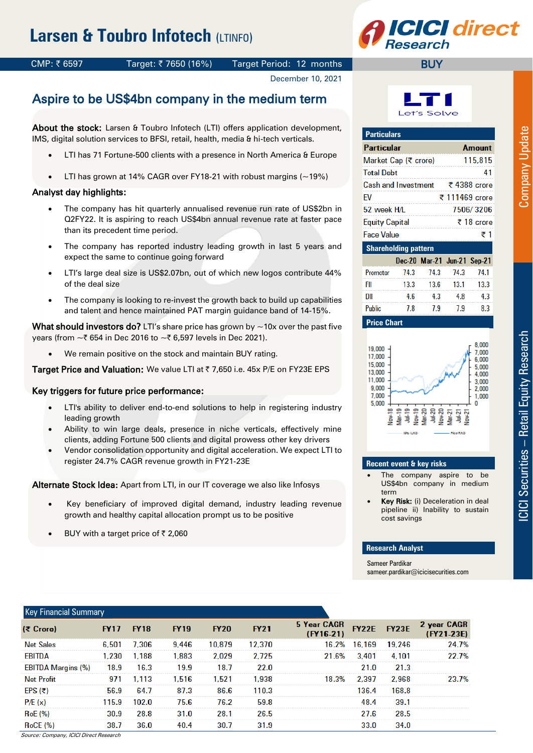# **Larsen & Toubro Infotech (LTINFO)**



## CMP: ₹6597 Target: ₹7650 (16%) Target Period: 12 months

#### December 10, 2021

## Aspire to be US\$4bn company in the medium term

About the stock: Larsen & Toubro Infotech (LTI) offers application development, IMS, digital solution services to BFSI, retail, health, media & hi-tech verticals.

- LTI has 71 Fortune-500 clients with a presence in North America & Europe
- LTI has grown at 14% CAGR over FY18-21 with robust margins (~19%)

### Analyst day highlights:

- The company has hit quarterly annualised revenue run rate of US\$2bn in Q2FY22. It is aspiring to reach US\$4bn annual revenue rate at faster pace than its precedent time period.
- The company has reported industry leading growth in last 5 years and expect the same to continue going forward
- LTI's large deal size is US\$2.07bn, out of which new logos contribute 44% of the deal size
- The company is looking to re-invest the growth back to build up capabilities and talent and hence maintained PAT margin guidance band of 14-15%.

What should investors do? LTI's share price has grown by  $\sim$  10x over the past five years (from  $\sim$ ₹ 654 in Dec 2016 to  $\sim$ ₹ 6,597 levels in Dec 2021).

We remain positive on the stock and maintain BUY rating.

Target Price and Valuation: We value LTI at ₹ 7,650 i.e. 45x P/E on FY23E EPS

### Key triggers for future price performance:

- LTI's ability to deliver end-to-end solutions to help in registering industry leading growth
- Ability to win large deals, presence in niche verticals, effectively mine clients, adding Fortune 500 clients and digital prowess other key drivers
- Vendor consolidation opportunity and digital acceleration. We expect LTI to register 24.7% CAGR revenue growth in FY21-23E

Alternate Stock Idea: Apart from LTI, in our IT coverage we also like Infosys

- Key beneficiary of improved digital demand, industry leading revenue growth and healthy capital allocation prompt us to be positive
- BUY with a target price of  $\bar{z}$  2,060



| <b>Particulars</b>          |      |                             |                |      |  |  |  |
|-----------------------------|------|-----------------------------|----------------|------|--|--|--|
| Particular                  |      |                             | <b>Amount</b>  |      |  |  |  |
| Market Cap (₹ crore)        |      |                             | 115,815        |      |  |  |  |
| <b>Total Debt</b>           |      |                             | 41             |      |  |  |  |
| Cash and Investment         |      |                             | ₹ 4388 crore   |      |  |  |  |
| FV                          |      |                             | ₹ 111469 crore |      |  |  |  |
| 52 week H/L                 |      |                             | 7506/3206      |      |  |  |  |
| <b>Equity Capital</b>       |      |                             | ₹ 18 crore     |      |  |  |  |
| Face Value                  |      |                             |                | ₹1   |  |  |  |
| <b>Shareholding pattern</b> |      |                             |                |      |  |  |  |
|                             |      | Dec-20 Mar-21 Jun-21 Sep-21 |                |      |  |  |  |
| Promoter                    | 74.3 | 74.3                        | 74.3           | 74.1 |  |  |  |
| FII                         | 13.3 | 13.6                        | 13.1           | 13.3 |  |  |  |
| DII                         | 4.6  | 4.3                         | 4.8            | 4.3  |  |  |  |
| <b>Public</b>               | 7.8  | 7.9                         | 7.9            | 8.3  |  |  |  |

**Price Chart**



#### **Recent event & key risks**

- The company aspire to be US\$4bn company in medium term
- Key Risk: (i) Deceleration in deal pipeline ii) Inability to sustain cost savings

#### **Research Analyst**

Sameer Pardikar sameer.pardikar@icicisecurities.com

| <b>Key Financial Summary</b> |             |             |             |             |             |                            |              |              |                             |
|------------------------------|-------------|-------------|-------------|-------------|-------------|----------------------------|--------------|--------------|-----------------------------|
| (₹ Crore)                    | <b>FY17</b> | <b>FY18</b> | <b>FY19</b> | <b>FY20</b> | <b>FY21</b> | 5 Year CAGR<br>$(FY16-21)$ | <b>FY22E</b> | <b>FY23E</b> | 2 year CAGR<br>$(FY21-23E)$ |
| <b>Net Sales</b>             | 6.501       | 7.306       | 9.446       | 10.879      | 12.370      | 16.2%                      | 16.169       | 19.246       | 24.7%                       |
| EBITDA                       | 1.230       | 1.188       | 1.883       | 2.029       | 2.725       | 21.6%                      | 3.401        | 4.101        | 22.7%                       |
| <b>EBITDA Margins (%)</b>    | 18.9        | 16.3        | 19.9        | 18.7        | 22.0        |                            | 21.0         | 21.3         |                             |
| <b>Net Profit</b>            | 971         | 1.113       | 1.516       | 1.521       | 1.938       | 18.3%                      | 2.397        | 2.968        | 23.7%                       |
| $EPS$ (₹)                    | 56.9        | 64.7        | 87.3        | 86.6        | 110.3       |                            | 136.4        | 168.8        |                             |
| P/E(x)                       | 115.9       | 102.0       | 75.6        | 76.2        | 59.8        |                            | 48.4         | 39.1         |                             |
| <b>RoE</b> (%)               | 30.9        | 28.8        | 31.0        | 28.1        | 26.5        |                            | 27.6         | 28.5         |                             |
| <b>RoCE (%)</b>              | 38.7        | 36.0        | 40.4        | 30.7        | 31.9        |                            | 33.0         | 34.0         |                             |

Source: Company, ICICI Direct Research

ICICI Securities

**ICICI Securities - Retail Equity Research** 

– Retail Equity Research Company Update

**Company Update**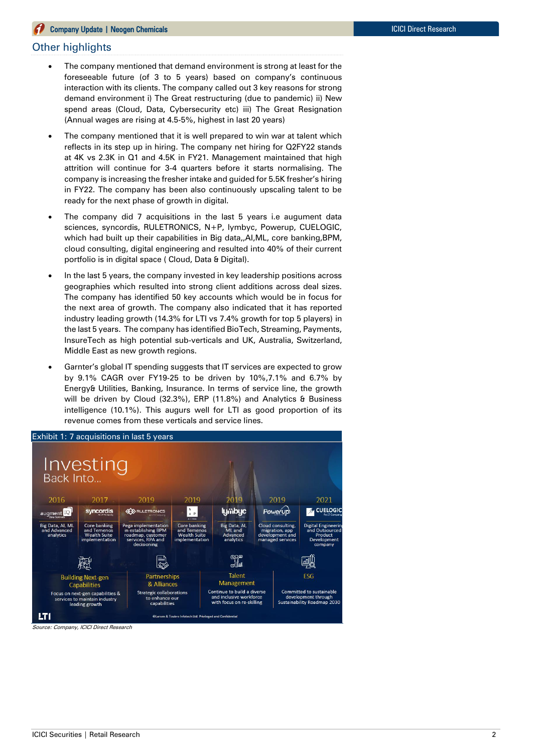#### Other highlights

- The company mentioned that demand environment is strong at least for the foreseeable future (of 3 to 5 years) based on company's continuous interaction with its clients. The company called out 3 key reasons for strong demand environment i) The Great restructuring (due to pandemic) ii) New spend areas (Cloud, Data, Cybersecurity etc) iii) The Great Resignation (Annual wages are rising at 4.5-5%, highest in last 20 years)
- The company mentioned that it is well prepared to win war at talent which reflects in its step up in hiring. The company net hiring for Q2FY22 stands at 4K vs 2.3K in Q1 and 4.5K in FY21. Management maintained that high attrition will continue for 3-4 quarters before it starts normalising. The company is increasing the fresher intake and guided for 5.5K fresher's hiring in FY22. The company has been also continuously upscaling talent to be ready for the next phase of growth in digital.
- The company did 7 acquisitions in the last 5 years i.e augument data sciences, syncordis, RULETRONICS, N+P, lymbyc, Powerup, CUELOGIC, which had built up their capabilities in Big data,,AI,ML, core banking,BPM, cloud consulting, digital engineering and resulted into 40% of their current portfolio is in digital space ( Cloud, Data & Digital).
- In the last 5 years, the company invested in key leadership positions across geographies which resulted into strong client additions across deal sizes. The company has identified 50 key accounts which would be in focus for the next area of growth. The company also indicated that it has reported industry leading growth (14.3% for LTI vs 7.4% growth for top 5 players) in the last 5 years. The company has identified BioTech, Streaming, Payments, InsureTech as high potential sub-verticals and UK, Australia, Switzerland, Middle East as new growth regions.
- Garnter's global IT spending suggests that IT services are expected to grow by 9.1% CAGR over FY19-25 to be driven by 10%,7.1% and 6.7% by Energy& Utilities, Banking, Insurance. In terms of service line, the growth will be driven by Cloud (32.3%), ERP (11.8%) and Analytics & Business intelligence (10.1%). This augurs well for LTI as good proportion of its revenue comes from these verticals and service lines.



Source: Company, ICICI Direct Research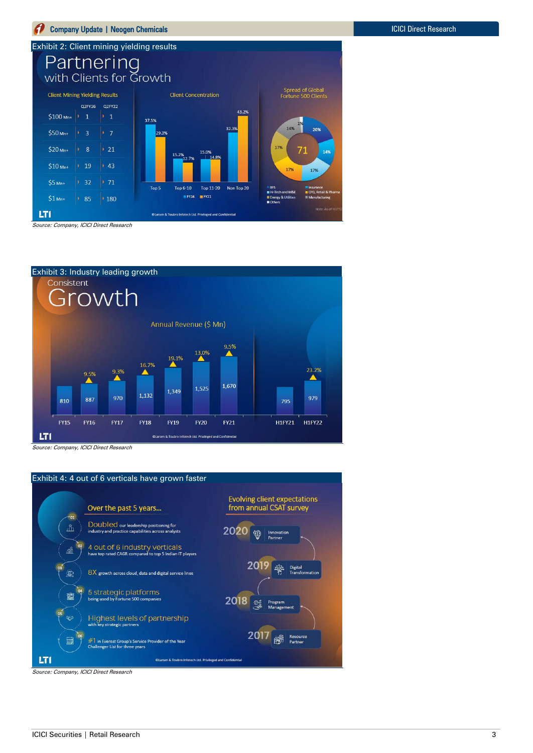





Source: Company, ICICI Direct Research



Source: Company, ICICI Direct Research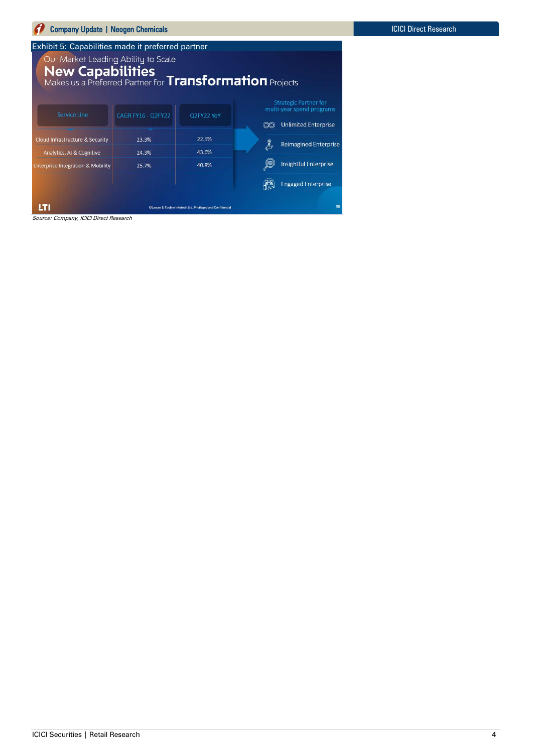| Company Update   Neogen Chemicals                                                                                                 |                           |                                                            |              |                                                                                          |
|-----------------------------------------------------------------------------------------------------------------------------------|---------------------------|------------------------------------------------------------|--------------|------------------------------------------------------------------------------------------|
| Exhibit 5: Capabilities made it preferred partner                                                                                 |                           |                                                            |              |                                                                                          |
| Our Market Leading Ability to Scale<br><b>New Capabilities</b><br>Makes us a Preferred Partner for <b>Transformation</b> Projects |                           |                                                            |              |                                                                                          |
| <b>Service Line</b>                                                                                                               | <b>CAGR FY16 - Q2FY22</b> | Q2FY22 YoY                                                 |              | <b>Strategic Partner for</b><br>multi-year spend programs<br><b>Unlimited Enterprise</b> |
| Cloud Infrastructure & Security                                                                                                   | 23.3%                     | 22.5%                                                      | $\mathbb{C}$ | <b>Reimagined Enterprise</b>                                                             |
| Analytics, AI & Cognitive                                                                                                         | 24.3%                     | 43.6%                                                      |              |                                                                                          |
| <b>Enterprise Integration &amp; Mobility</b>                                                                                      | 25.7%                     | 40.8%                                                      |              | <b>Insightful Enterprise</b>                                                             |
|                                                                                                                                   |                           |                                                            |              | <b>Engaged Enterprise</b>                                                                |
| LTI<br>Source: Company, ICICI Direct Research                                                                                     |                           | Clarsen & Toubro Infotech Ltd. Privileged and Confidential |              | 90                                                                                       |

 $\sim$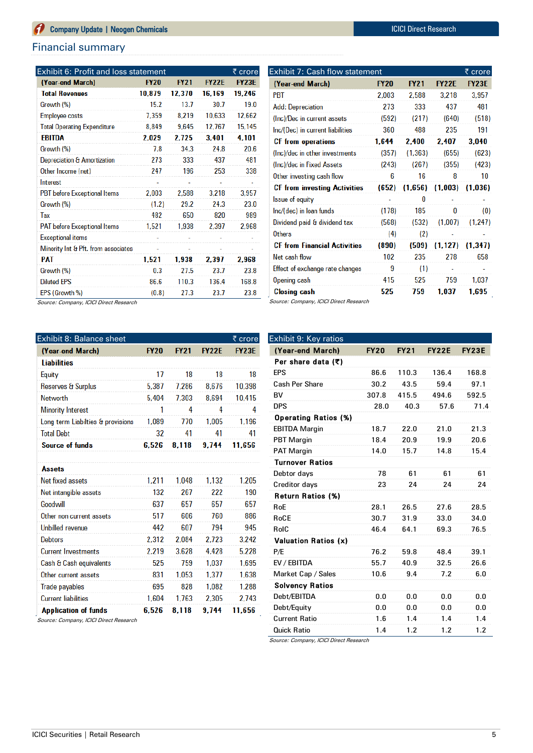#### Financial summary

| Exhibit 6: Profit and loss statement<br>₹ crore |             |             |              |              |  |  |
|-------------------------------------------------|-------------|-------------|--------------|--------------|--|--|
| (Year-end March)                                | <b>FY20</b> | <b>FY21</b> | <b>FY22E</b> | <b>FY23E</b> |  |  |
| <b>Total Revenues</b>                           | 10,879      | 12.370      | 16,169       | 19,246       |  |  |
| Growth (%)                                      | 15.2        | 13.7        | 30.7         | 19.0         |  |  |
| Employee costs                                  | 7,359       | 8,219       | 10,633       | 12,662       |  |  |
| <b>Total Operating Expenditure</b>              | 8,849       | 9,645       | 12,767       | 15,145       |  |  |
| <b>EBITDA</b>                                   | 2,029       | 2,725       | 3.401        | 4,101        |  |  |
| Growth (%)                                      | 7.8         | 34.3        | 24.8         | 20.6         |  |  |
| Depreciation & Amortization                     | 273         | 333         | 437          | 481          |  |  |
| Other Income (net)                              | 247         | 196         | 253          | 338          |  |  |
| Interest                                        |             |             |              |              |  |  |
| <b>PBT</b> before Exceptional Items             | 2.003       | 2.588       | 3,218        | 3,957        |  |  |
| Growth (%)                                      | (1.2)       | 29.2        | 24.3         | 23.0         |  |  |
| Tax                                             | 482         | 650         | 820          | 989          |  |  |
| <b>PAT</b> before Exceptional Items             | 1,521       | 1.938       | 2,397        | 2,968        |  |  |
| <b>Exceptional items</b>                        |             |             |              |              |  |  |
| Minority Int & Pft. from associates             |             |             |              |              |  |  |
| <b>PAT</b>                                      | 1.521       | 1,938       | 2.397        | 2,968        |  |  |
| Growth (%)                                      | 0.3         | 27.5        | 23.7         | 23.8         |  |  |
| <b>Diluted EPS</b>                              | 86.6        | 110.3       | 136.4        | 168.8        |  |  |
| EPS (Growth %)                                  | (0.8)       | 27.3        | 23.7         | 23.8         |  |  |

| Exhibit 7: Cash flow statement      |             |             |              |              |  |  |
|-------------------------------------|-------------|-------------|--------------|--------------|--|--|
| (Year-end March)                    | <b>FY20</b> | <b>FY21</b> | <b>FY22E</b> | <b>FY23E</b> |  |  |
| PBT                                 | 2,003       | 2,588       | 3,218        | 3,957        |  |  |
| <b>Add: Depreciation</b>            | 273         | 333         | 437          | 481          |  |  |
| (Inc)/Dec in current assets         | (592)       | (217)       | (640)        | (518)        |  |  |
| Inc/(Dec) in current liabilities    | 360         | 488         | 235          | 191          |  |  |
| <b>CF</b> from operations           | 1,644       | 2,400       | 2,407        | 3,040        |  |  |
| (Inc)/dec in other investments      | (357)       | (1, 363)    | (655)        | (623)        |  |  |
| (Inc)/dec in Fixed Assets           | (243)       | (267)       | (355)        | (423)        |  |  |
| Other investing cash flow           | 6           | 16          | 8            | 10           |  |  |
| <b>CF</b> from investing Activities | (652)       | (1,656)     | (1,003)      | (1.036)      |  |  |
| <b>Issue of equity</b>              |             | 0           |              |              |  |  |
| Inc/(dec) in Ioan funds             | (178)       | 185         | 0            | (0)          |  |  |
| Dividend paid & dividend tax        | (568)       | (532)       | (1,007)      | (1, 247)     |  |  |
| <b>Others</b>                       | (4)         | (2)         |              |              |  |  |
| <b>CF from Financial Activities</b> | (890)       | (509)       | (1, 127)     | (1.347)      |  |  |
| Net cash flow                       | 102         | 235         | 278          | 658          |  |  |
| Effect of exchange rate changes     | 9           | (1)         |              |              |  |  |
|                                     |             |             |              |              |  |  |
| Opening cash                        | 415         | 525         | 759          | 1,037        |  |  |

Source: Company, ICICI Direct Research

| Exhibit 8: Balance sheet<br>₹ crore |             |             |              |              |  |  |
|-------------------------------------|-------------|-------------|--------------|--------------|--|--|
| (Year-end March)                    | <b>FY20</b> | <b>FY21</b> | <b>FY22E</b> | <b>FY23E</b> |  |  |
| <b>Liabilities</b>                  |             |             |              |              |  |  |
| Equity                              | 17          | 18          | 18           | 18           |  |  |
| <b>Reserves &amp; Surplus</b>       | 5.387       | 7.286       | 8.676        | 10,398       |  |  |
| <b>Networth</b>                     | 5,404       | 7.303       | 8.694        | 10,415       |  |  |
| <b>Minority Interest</b>            | 1           | 4           | 4            | 4            |  |  |
| Long term Liabilties & provisions   | 1.089       | 770         | 1,005        | 1.196        |  |  |
| <b>Total Debt</b>                   | 32          | 41          | 41           | 41           |  |  |
| <b>Source of funds</b>              | 6.526       | 8.118       | 9.744        | 11.656       |  |  |
|                                     |             |             |              |              |  |  |
| <b>Assets</b>                       |             |             |              |              |  |  |
| Net fixed assets                    | 1.211       | 1.048       | 1.132        | 1.205        |  |  |
| Net intangible assets               | 132         | 267         | 222          | 190          |  |  |
| Goodwill                            | 637         | 657         | 657          | 657          |  |  |
| Other non current assets            | 517         | 606         | 760          | 886          |  |  |
| <b>Unbilled revenue</b>             | 442         | 607         | 794          | 945          |  |  |
| <b>Debtors</b>                      | 2,312       | 2.084       | 2.723        | 3.242        |  |  |
| <b>Current Investments</b>          | 2.219       | 3.628       | 4,428        | 5.228        |  |  |
| Cash & Cash equivalents             | 525         | 759         | 1.037        | 1.695        |  |  |
| Other current assets                | 831         | 1.053       | 1.377        | 1.638        |  |  |
| Trade payables                      | 695         | 828         | 1.082        | 1.288        |  |  |
| <b>Current liabilities</b>          | 1,604       | 1.763       | 2.305        | 2.743        |  |  |
| <b>Application of funds</b>         | 6.526       | 8.118       | 9.744        | 11.656       |  |  |

Exhibit 9: Key ratios (Year-end March) FY20 FY21 FY22E FY23E Per share data  $($ math> EPS 86.6 110.3 136.4 168.8 Cash Per Share 30.2 43.5 59.4 97.1 BV 307.8 415.5 494.6 592.5 DPS 28.0 40.3 57.6 71.4 Operating Ratios (%) EBITDA Margin 18.7 22.0 21.0 21.3 PBT Margin 18.4 20.9 19.9 20.6 PAT Margin 14.0 15.7 14.8 15.4 Turnover Ratios Debtor days 78 61 61 61 Creditor days 23 24 24 24 Return Ratios (%) RoE 28.1 26.5 27.6 28.5 RoCE 30.7 31.9 33.0 34.0 RoIC 46.4 64.1 69.3 76.5 Valuation Ratios (x) P/E 76.2 59.8 48.4 39.1 EV / EBITDA 55.7 40.9 32.5 26.6 Market Cap / Sales 10.6 9.4 7.2 6.0 Solvency Ratios Debt/EBITDA 0.0 0.0 0.0 0.0 Debt/Equity 0.0 0.0 0.0 0.0 Current Ratio 1.6 1.4 1.4 1.4 Quick Ratio 1.4 1.2 1.2 1.2

Source: Company, ICICI Direct Research

Source: Company, ICICI Direct Research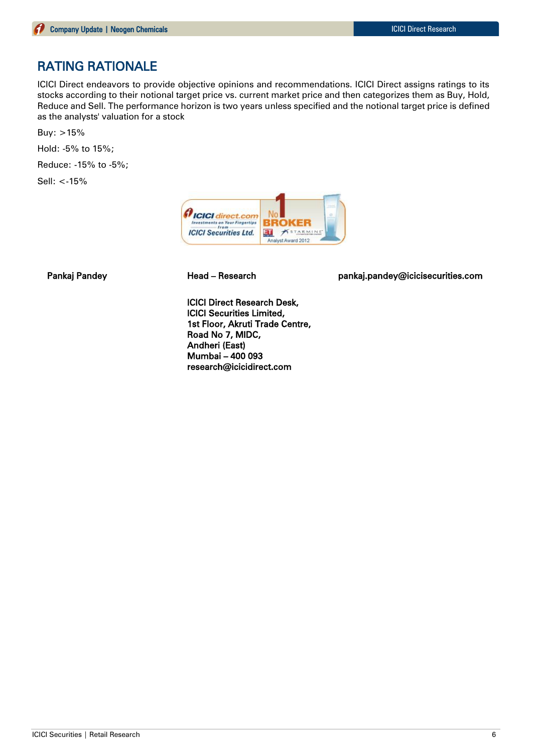## RATING RATIONALE

ICICI Direct endeavors to provide objective opinions and recommendations. ICICI Direct assigns ratings to its stocks according to their notional target price vs. current market price and then categorizes them as Buy, Hold, Reduce and Sell. The performance horizon is two years unless specified and the notional target price is defined as the analysts' valuation for a stock

Buy:  $>15%$ 

Hold: -5% to 15%;

Reduce: -15% to -5%;

Sell: <-15%



Pankaj Pandey Head – Research pankaj.pandey@icicisecurities.com

ICICI Direct Research Desk, ICICI Securities Limited, 1st Floor, Akruti Trade Centre, Road No 7, MIDC, Andheri (East) Mumbai – 400 093 research@icicidirect.com